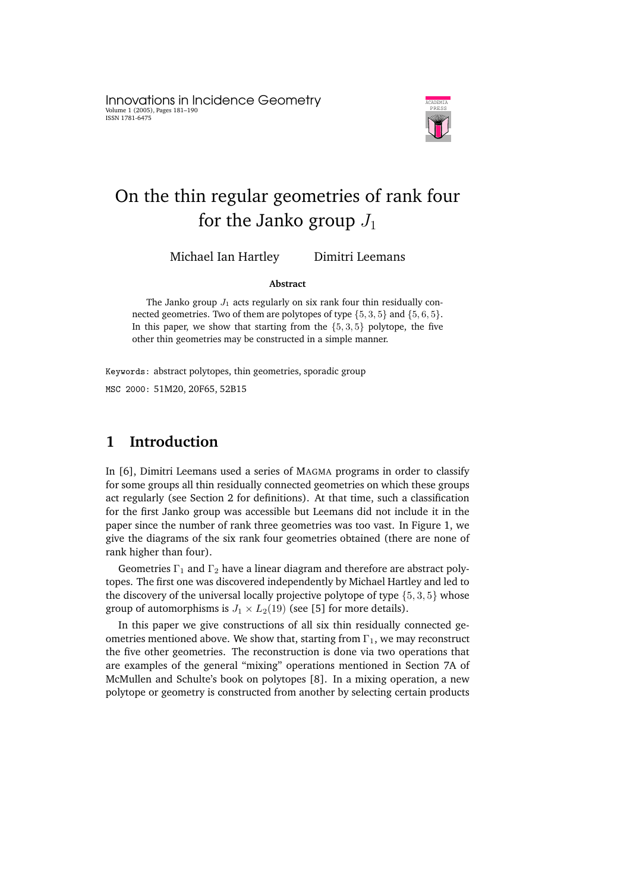Innovations in Incidence Geometry Volume 1 (2005), Pages 181–190 ISSN 1781-6475



# On the thin regular geometries of rank four for the Janko group  $J_1$

Michael Ian Hartley Dimitri Leemans

#### **Abstract**

The Janko group  $J_1$  acts regularly on six rank four thin residually connected geometries. Two of them are polytopes of type  $\{5, 3, 5\}$  and  $\{5, 6, 5\}$ . In this paper, we show that starting from the  $\{5, 3, 5\}$  polytope, the five other thin geometries may be constructed in a simple manner.

Keywords: abstract polytopes, thin geometries, sporadic group

MSC 2000: 51M20, 20F65, 52B15

## **1 Introduction**

In [6], Dimitri Leemans used a series of MAGMA programs in order to classify for some groups all thin residually connected geometries on which these groups act regularly (see Section 2 for definitions). At that time, such a classification for the first Janko group was accessible but Leemans did not include it in the paper since the number of rank three geometries was too vast. In Figure 1, we give the diagrams of the six rank four geometries obtained (there are none of rank higher than four).

Geometries  $\Gamma_1$  and  $\Gamma_2$  have a linear diagram and therefore are abstract polytopes. The first one was discovered independently by Michael Hartley and led to the discovery of the universal locally projective polytope of type  $\{5, 3, 5\}$  whose group of automorphisms is  $J_1 \times L_2(19)$  (see [5] for more details).

In this paper we give constructions of all six thin residually connected geometries mentioned above. We show that, starting from  $\Gamma_1$ , we may reconstruct the five other geometries. The reconstruction is done via two operations that are examples of the general "mixing" operations mentioned in Section 7A of McMullen and Schulte's book on polytopes [8]. In a mixing operation, a new polytope or geometry is constructed from another by selecting certain products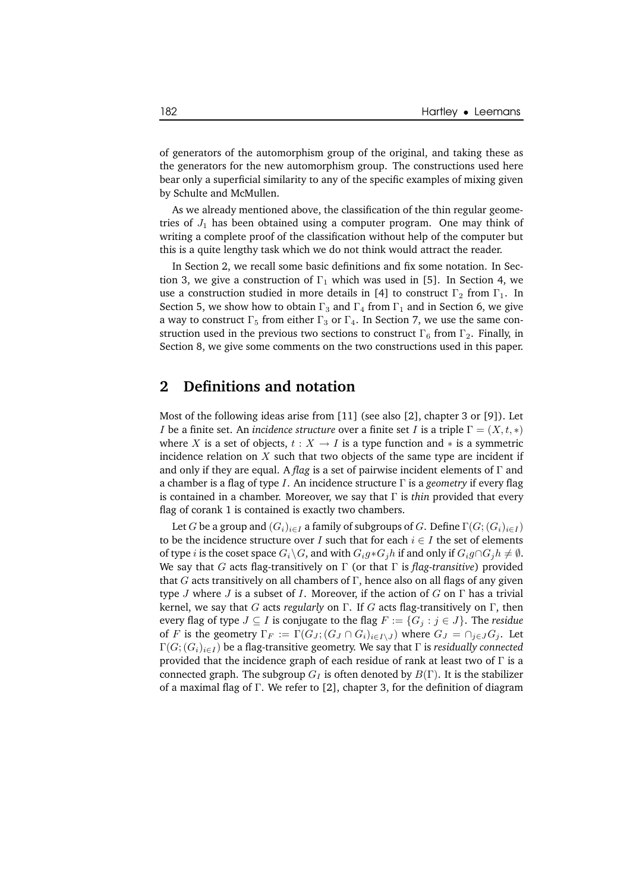of generators of the automorphism group of the original, and taking these as the generators for the new automorphism group. The constructions used here bear only a superficial similarity to any of the specific examples of mixing given by Schulte and McMullen.

As we already mentioned above, the classification of the thin regular geometries of  $J_1$  has been obtained using a computer program. One may think of writing a complete proof of the classification without help of the computer but this is a quite lengthy task which we do not think would attract the reader.

In Section 2, we recall some basic definitions and fix some notation. In Section 3, we give a construction of  $\Gamma_1$  which was used in [5]. In Section 4, we use a construction studied in more details in [4] to construct  $\Gamma_2$  from  $\Gamma_1$ . In Section 5, we show how to obtain  $\Gamma_3$  and  $\Gamma_4$  from  $\Gamma_1$  and in Section 6, we give a way to construct  $\Gamma_5$  from either  $\Gamma_3$  or  $\Gamma_4$ . In Section 7, we use the same construction used in the previous two sections to construct  $\Gamma_6$  from  $\Gamma_2$ . Finally, in Section 8, we give some comments on the two constructions used in this paper.

#### **2 Definitions and notation**

Most of the following ideas arise from [11] (see also [2], chapter 3 or [9]). Let *I* be a finite set. An *incidence structure* over a finite set *I* is a triple  $\Gamma = (X, t, *)$ where X is a set of objects,  $t : X \to I$  is a type function and  $*$  is a symmetric incidence relation on  $X$  such that two objects of the same type are incident if and only if they are equal. A *flag* is a set of pairwise incident elements of Γ and a chamber is a flag of type I. An incidence structure Γ is a *geometry* if every flag is contained in a chamber. Moreover, we say that Γ is *thin* provided that every flag of corank 1 is contained is exactly two chambers.

Let G be a group and  $(G_i)_{i\in I}$  a family of subgroups of G. Define  $\Gamma(G; (G_i)_{i\in I})$ to be the incidence structure over I such that for each  $i \in I$  the set of elements of type *i* is the coset space  $G_i\backslash G$ , and with  $G_ig * G_jh$  if and only if  $G_ig \cap G_jh \neq \emptyset$ . We say that G acts flag-transitively on Γ (or that Γ is *flag-transitive*) provided that  $G$  acts transitively on all chambers of  $\Gamma$ , hence also on all flags of any given type J where J is a subset of I. Moreover, if the action of G on  $\Gamma$  has a trivial kernel, we say that G acts *regularly* on Γ. If G acts flag-transitively on Γ, then every flag of type  $J \subseteq I$  is conjugate to the flag  $F := \{G_j : j \in J\}$ . The *residue* of F is the geometry  $\Gamma_F := \Gamma(G_J; (G_J \cap G_i)_{i \in I \setminus J})$  where  $G_J = \cap_{j \in J} G_j$ . Let  $\Gamma(G; (G_i)_{i \in I})$  be a flag-transitive geometry. We say that  $\Gamma$  is *residually connected* provided that the incidence graph of each residue of rank at least two of  $\Gamma$  is a connected graph. The subgroup  $G_I$  is often denoted by  $B(\Gamma)$ . It is the stabilizer of a maximal flag of Γ. We refer to [2], chapter 3, for the definition of diagram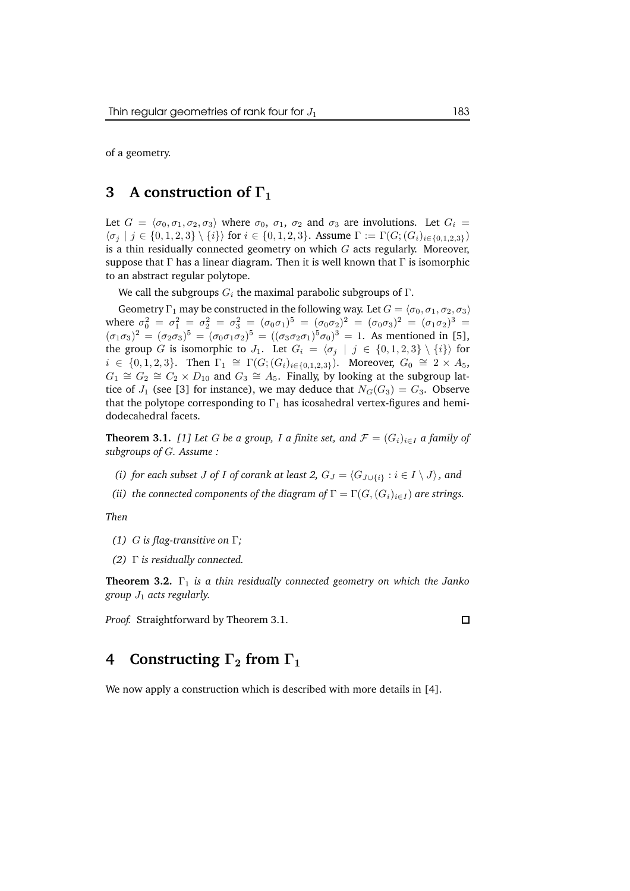of a geometry.

### **3 A construction of** Γ<sup>1</sup>

Let  $G = \langle \sigma_0, \sigma_1, \sigma_2, \sigma_3 \rangle$  where  $\sigma_0$ ,  $\sigma_1$ ,  $\sigma_2$  and  $\sigma_3$  are involutions. Let  $G_i$  $\{\sigma_j \mid j \in \{0, 1, 2, 3\} \setminus \{i\}\}\$  for  $i \in \{0, 1, 2, 3\}$ . Assume  $\Gamma := \Gamma(G; (G_i)_{i \in \{0, 1, 2, 3\}})$ is a thin residually connected geometry on which  $G$  acts regularly. Moreover, suppose that  $\Gamma$  has a linear diagram. Then it is well known that  $\Gamma$  is isomorphic to an abstract regular polytope.

We call the subgroups  $G_i$  the maximal parabolic subgroups of  $\Gamma$ .

Geometry  $\Gamma_1$  may be constructed in the following way. Let  $G = \langle \sigma_0, \sigma_1, \sigma_2, \sigma_3 \rangle$ where  $\sigma_0^2 = \sigma_1^2 = \sigma_2^2 = \sigma_3^2 = (\sigma_0 \sigma_1)^5 = (\sigma_0 \sigma_2)^2 = (\sigma_0 \sigma_3)^2 = (\sigma_1 \sigma_2)^3 =$  $(\sigma_1 \sigma_3)^2 = (\sigma_2 \sigma_3)^5 = (\sigma_0 \sigma_1 \sigma_2)^5 = ((\sigma_3 \sigma_2 \sigma_1)^5 \sigma_0)^3 = 1$ . As mentioned in [5], the group G is isomorphic to  $J_1$ . Let  $G_i = \langle \sigma_j | j \in \{0, 1, 2, 3\} \setminus \{i\} \rangle$  for  $i \in \{0, 1, 2, 3\}$ . Then  $\Gamma_1 \cong \Gamma(G; (G_i)_{i \in \{0, 1, 2, 3\}})$ . Moreover,  $G_0 \cong 2 \times A_5$ ,  $G_1 \cong G_2 \cong C_2 \times D_{10}$  and  $G_3 \cong A_5$ . Finally, by looking at the subgroup lattice of  $J_1$  (see [3] for instance), we may deduce that  $N_G(G_3) = G_3$ . Observe that the polytope corresponding to  $\Gamma_1$  has icosahedral vertex-figures and hemidodecahedral facets.

**Theorem 3.1.** [1] Let G be a group, I a finite set, and  $\mathcal{F} = (G_i)_{i \in I}$  a family of *subgroups of* G*. Assume :*

*(i) for each subset J of I of corank at least* 2,  $G_J = \langle G_{J \cup \{i\}} : i \in I \setminus J \rangle$ , and

*(ii) the connected components of the diagram of*  $\Gamma = \Gamma(G, (G_i)_{i \in I})$  *are strings.* 

*Then*

- *(1)* G *is flag-transitive on* Γ*;*
- *(2)* Γ *is residually connected.*

**Theorem 3.2.** Γ<sup>1</sup> *is a thin residually connected geometry on which the Janko group* J<sup>1</sup> *acts regularly.*

*Proof.* Straightforward by Theorem 3.1.

 $\Box$ 

## **4 Constructing**  $\Gamma_2$  **from**  $\Gamma_1$

We now apply a construction which is described with more details in [4].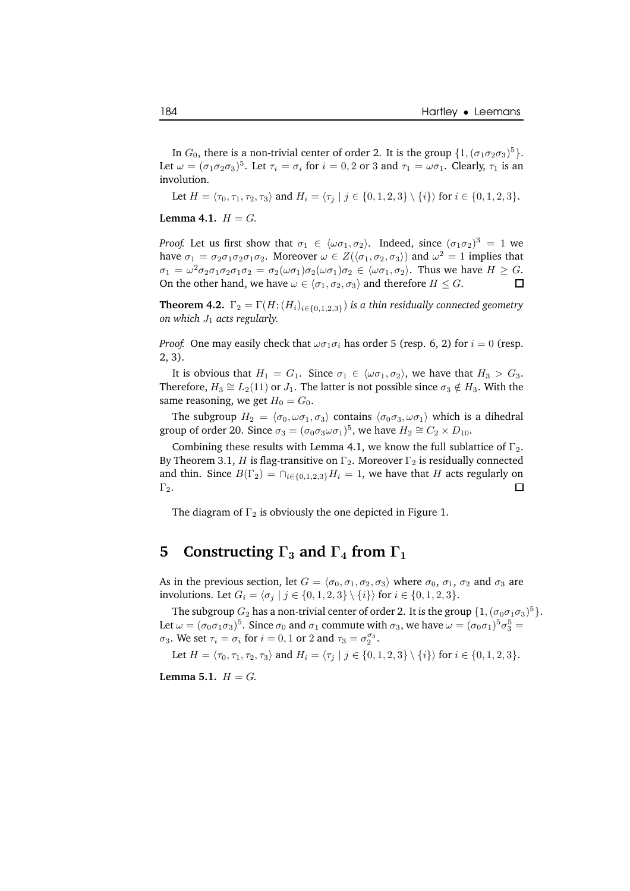In  $G_0$ , there is a non-trivial center of order 2. It is the group  $\{1,(\sigma_1\sigma_2\sigma_3)^5\}$ . Let  $\omega = (\sigma_1 \sigma_2 \sigma_3)^5$ . Let  $\tau_i = \sigma_i$  for  $i = 0, 2$  or 3 and  $\tau_1 = \omega \sigma_1$ . Clearly,  $\tau_1$  is an involution.

Let  $H = \langle \tau_0, \tau_1, \tau_2, \tau_3 \rangle$  and  $H_i = \langle \tau_i | j \in \{0, 1, 2, 3\} \setminus \{i\} \rangle$  for  $i \in \{0, 1, 2, 3\}.$ 

**Lemma** 4.1.  $H = G$ .

*Proof.* Let us first show that  $\sigma_1 \in \langle \omega \sigma_1, \sigma_2 \rangle$ . Indeed, since  $(\sigma_1 \sigma_2)^3 = 1$  we have  $\sigma_1 = \sigma_2 \sigma_1 \sigma_2 \sigma_1 \sigma_2$ . Moreover  $\omega \in Z(\langle \sigma_1, \sigma_2, \sigma_3 \rangle)$  and  $\omega^2 = 1$  implies that  $\sigma_1 = \omega^2 \sigma_2 \sigma_1 \sigma_2 \sigma_1 \sigma_2 = \sigma_2(\omega \sigma_1) \sigma_2(\omega \sigma_1) \sigma_2 \in \langle \omega \sigma_1, \sigma_2 \rangle$ . Thus we have  $H \geq G$ . On the other hand, we have  $\omega \in \langle \sigma_1, \sigma_2, \sigma_3 \rangle$  and therefore  $H \leq G$ .

**Theorem 4.2.**  $\Gamma_2 = \Gamma(H; (H_i)_{i \in \{0,1,2,3\}})$  *is a thin residually connected geometry on which*  $J_1$  *acts regularly.* 

*Proof.* One may easily check that  $\omega \sigma_1 \sigma_i$  has order 5 (resp. 6, 2) for  $i = 0$  (resp. 2, 3).

It is obvious that  $H_1 = G_1$ . Since  $\sigma_1 \in \langle \omega \sigma_1, \sigma_2 \rangle$ , we have that  $H_3 > G_3$ . Therefore,  $H_3 \cong L_2(11)$  or  $J_1$ . The latter is not possible since  $\sigma_3 \notin H_3$ . With the same reasoning, we get  $H_0 = G_0$ .

The subgroup  $H_2 = \langle \sigma_0, \omega \sigma_1, \sigma_3 \rangle$  contains  $\langle \sigma_0 \sigma_3, \omega \sigma_1 \rangle$  which is a dihedral group of order 20. Since  $\sigma_3 = (\sigma_0 \sigma_3 \omega \sigma_1)^5$ , we have  $H_2 \cong C_2 \times D_{10}$ .

Combining these results with Lemma 4.1, we know the full sublattice of  $\Gamma_2$ . By Theorem 3.1, H is flag-transitive on  $\Gamma_2$ . Moreover  $\Gamma_2$  is residually connected and thin. Since  $B(\Gamma_2) = \bigcap_{i \in \{0,1,2,3\}} H_i = 1$ , we have that H acts regularly on  $\Gamma_2$ .  $\Gamma_2$ .

The diagram of  $\Gamma_2$  is obviously the one depicted in Figure 1.

## **5 Constructing**  $\Gamma_3$  **and**  $\Gamma_4$  **from**  $\Gamma_1$

As in the previous section, let  $G = \langle \sigma_0, \sigma_1, \sigma_2, \sigma_3 \rangle$  where  $\sigma_0$ ,  $\sigma_1$ ,  $\sigma_2$  and  $\sigma_3$  are involutions. Let  $G_i = \{ \sigma_j \mid j \in \{0, 1, 2, 3\} \setminus \{i\} \}$  for  $i \in \{0, 1, 2, 3\}.$ 

The subgroup  $G_2$  has a non-trivial center of order 2. It is the group  $\{1,(\sigma_0\sigma_1\sigma_3)^5\}$ . Let  $\omega = (\sigma_0 \sigma_1 \sigma_3)^5$ . Since  $\sigma_0$  and  $\sigma_1$  commute with  $\sigma_3$ , we have  $\omega = (\sigma_0 \sigma_1)^5 \sigma_3^5 =$  $\sigma_3$ . We set  $\tau_i = \sigma_i$  for  $i = 0, 1$  or 2 and  $\tau_3 = \sigma_2^{\sigma_3}$ .

Let  $H = \langle \tau_0, \tau_1, \tau_2, \tau_3 \rangle$  and  $H_i = \langle \tau_i | j \in \{0, 1, 2, 3\} \setminus \{i\} \rangle$  for  $i \in \{0, 1, 2, 3\}.$ 

**Lemma** 5.1.  $H = G$ .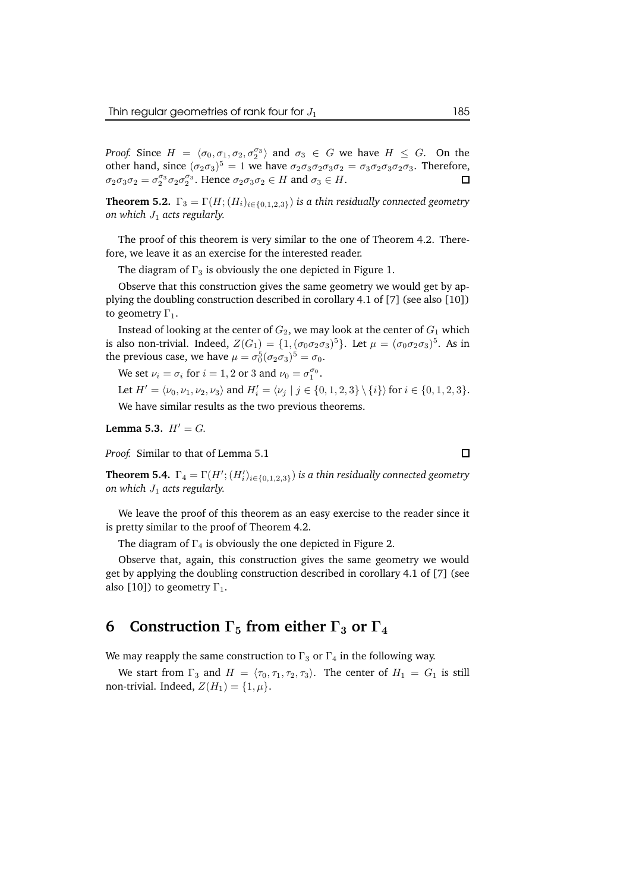*Proof.* Since  $H = \langle \sigma_0, \sigma_1, \sigma_2, \sigma_2^{\sigma_3} \rangle$  and  $\sigma_3 \in G$  we have  $H \leq G$ . On the other hand, since  $(\sigma_2 \sigma_3)^5 = 1$  we have  $\sigma_2 \sigma_3 \sigma_2 \sigma_3 \sigma_2 = \sigma_3 \sigma_2 \sigma_3 \sigma_2 \sigma_3$ . Therefore,  $\sigma_2 \sigma_3 \sigma_2 = \sigma_2^{\sigma_3} \sigma_2 \sigma_2^{\sigma_3}$ . Hence  $\sigma_2 \sigma_3 \sigma_2 \in H$  and  $\sigma_3 \in H$ . □

**Theorem 5.2.**  $\Gamma_3 = \Gamma(H; (H_i)_{i \in \{0,1,2,3\}})$  *is a thin residually connected geometry on which*  $J_1$  *acts regularly.* 

The proof of this theorem is very similar to the one of Theorem 4.2. Therefore, we leave it as an exercise for the interested reader.

The diagram of  $\Gamma_3$  is obviously the one depicted in Figure 1.

Observe that this construction gives the same geometry we would get by applying the doubling construction described in corollary 4.1 of [7] (see also [10]) to geometry  $\Gamma_1$ .

Instead of looking at the center of  $G_2$ , we may look at the center of  $G_1$  which is also non-trivial. Indeed,  $Z(G_1) = \{1, (\sigma_0 \sigma_2 \sigma_3)^5\}$ . Let  $\mu = (\sigma_0 \sigma_2 \sigma_3)^5$ . As in the previous case, we have  $\mu = \sigma_0^5 (\sigma_2 \sigma_3)^5 = \sigma_0$ .

We set  $\nu_i = \sigma_i$  for  $i = 1, 2$  or 3 and  $\nu_0 = \sigma_1^{\sigma_0}$ .

Let  $H' = \langle \nu_0, \nu_1, \nu_2, \nu_3 \rangle$  and  $H'_i = \langle \nu_j | j \in \{0, 1, 2, 3\} \setminus \{i\} \rangle$  for  $i \in \{0, 1, 2, 3\}.$ 

We have similar results as the two previous theorems.

**Lemma 5.3.**  $H' = G$ .

*Proof.* Similar to that of Lemma 5.1

 $\Box$ 

 $\textbf{Theorem 5.4.}$   $\Gamma_4 = \Gamma(H'; (H'_i)_{i \in \{0,1,2,3\}})$  is a thin residually connected geometry *on which* J<sup>1</sup> *acts regularly.*

We leave the proof of this theorem as an easy exercise to the reader since it is pretty similar to the proof of Theorem 4.2.

The diagram of  $\Gamma_4$  is obviously the one depicted in Figure 2.

Observe that, again, this construction gives the same geometry we would get by applying the doubling construction described in corollary 4.1 of [7] (see also [10]) to geometry  $\Gamma_1$ .

## **6 Construction**  $\Gamma_5$  **from either**  $\Gamma_3$  **or**  $\Gamma_4$

We may reapply the same construction to  $\Gamma_3$  or  $\Gamma_4$  in the following way.

We start from  $\Gamma_3$  and  $H = \langle \tau_0, \tau_1, \tau_2, \tau_3 \rangle$ . The center of  $H_1 = G_1$  is still non-trivial. Indeed,  $Z(H_1) = \{1, \mu\}.$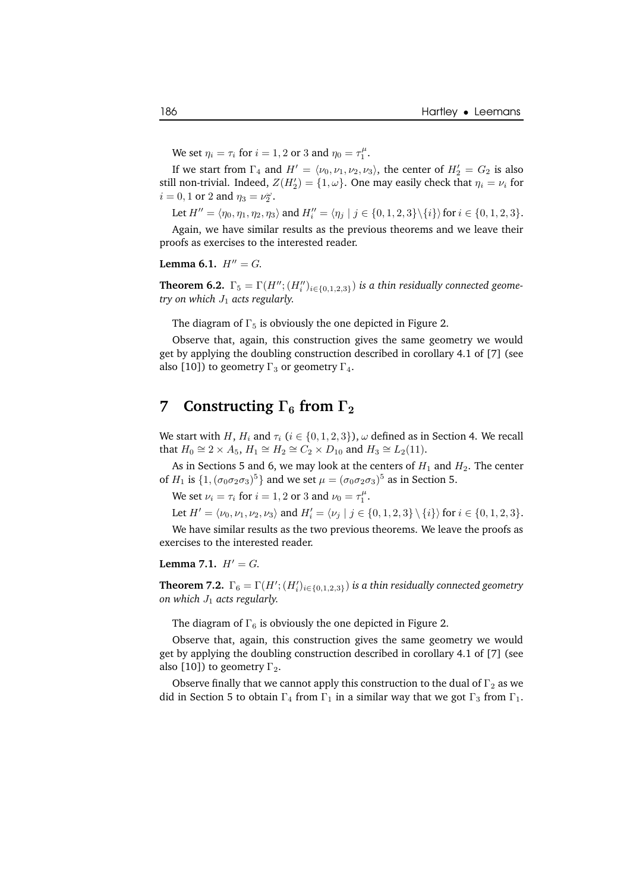We set  $\eta_i = \tau_i$  for  $i = 1, 2$  or 3 and  $\eta_0 = \tau_1^{\mu}$ .

If we start from  $\Gamma_4$  and  $H' = \langle \nu_0, \nu_1, \nu_2, \nu_3 \rangle$ , the center of  $H'_2 = G_2$  is also still non-trivial. Indeed,  $Z(H_2') = \{1, \omega\}$ . One may easily check that  $\eta_i = \nu_i$  for  $i = 0, 1$  or 2 and  $\eta_3 = \nu_2^{\omega}$ .

Let  $H'' = \langle \eta_0, \eta_1, \eta_2, \eta_3 \rangle$  and  $H''_i = \langle \eta_j | j \in \{0, 1, 2, 3\} \setminus \{i\} \rangle$  for  $i \in \{0, 1, 2, 3\}$ .

Again, we have similar results as the previous theorems and we leave their proofs as exercises to the interested reader.

**Lemma** 6.1.  $H'' = G$ .

**Theorem 6.2.**  $\Gamma_5 = \Gamma(H''; (H''_i)_{i \in \{0,1,2,3\}})$  *is a thin residually connected geometry on which*  $J_1$  *acts regularly.* 

The diagram of  $\Gamma_5$  is obviously the one depicted in Figure 2.

Observe that, again, this construction gives the same geometry we would get by applying the doubling construction described in corollary 4.1 of [7] (see also [10]) to geometry  $\Gamma_3$  or geometry  $\Gamma_4$ .

#### **7 Constructing**  $\Gamma_6$  **from**  $\Gamma_2$

We start with H,  $H_i$  and  $\tau_i$  ( $i \in \{0, 1, 2, 3\}$ ),  $\omega$  defined as in Section 4. We recall that  $H_0 \cong 2 \times A_5$ ,  $H_1 \cong H_2 \cong C_2 \times D_{10}$  and  $H_3 \cong L_2(11)$ .

As in Sections 5 and 6, we may look at the centers of  $H_1$  and  $H_2$ . The center of  $H_1$  is  $\{1,(\sigma_0\sigma_2\sigma_3)^5\}$  and we set  $\mu=(\sigma_0\sigma_2\sigma_3)^5$  as in Section 5.

We set  $\nu_i = \tau_i$  for  $i = 1, 2$  or 3 and  $\nu_0 = \tau_1^{\mu}$ .

Let  $H' = \langle \nu_0, \nu_1, \nu_2, \nu_3 \rangle$  and  $H'_i = \langle \nu_j | j \in \{0, 1, 2, 3\} \setminus \{i\} \rangle$  for  $i \in \{0, 1, 2, 3\}.$ 

We have similar results as the two previous theorems. We leave the proofs as exercises to the interested reader.

#### **Lemma** 7.1.  $H' = G$ .

 $\textbf{Theorem 7.2.}$   $\Gamma_6 = \Gamma(H'; (H'_i)_{i \in \{0,1,2,3\}})$  is a thin residually connected geometry *on which*  $J_1$  *acts regularly.* 

The diagram of  $\Gamma_6$  is obviously the one depicted in Figure 2.

Observe that, again, this construction gives the same geometry we would get by applying the doubling construction described in corollary 4.1 of [7] (see also [10]) to geometry  $\Gamma_2$ .

Observe finally that we cannot apply this construction to the dual of  $\Gamma_2$  as we did in Section 5 to obtain  $\Gamma_4$  from  $\Gamma_1$  in a similar way that we got  $\Gamma_3$  from  $\Gamma_1$ .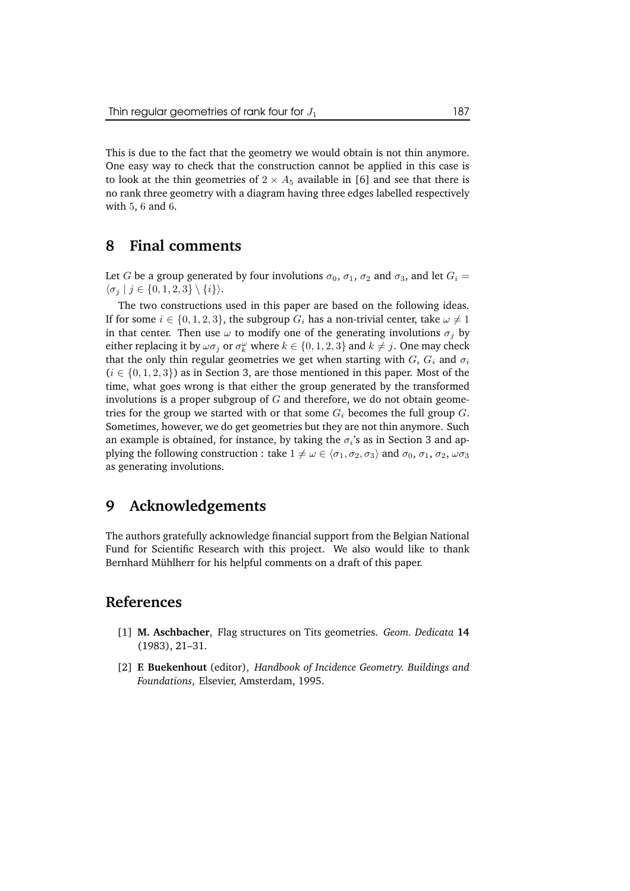This is due to the fact that the geometry we would obtain is not thin anymore. One easy way to check that the construction cannot be applied in this case is to look at the thin geometries of  $2 \times A_5$  available in [6] and see that there is no rank three geometry with a diagram having three edges labelled respectively with 5, 6 and 6.

#### **8 Final comments**

Let G be a group generated by four involutions  $\sigma_0$ ,  $\sigma_1$ ,  $\sigma_2$  and  $\sigma_3$ , and let  $G_i$  =  $\langle \sigma_j | j \in \{0, 1, 2, 3\} \setminus \{i\} \rangle.$ 

The two constructions used in this paper are based on the following ideas. If for some  $i \in \{0, 1, 2, 3\}$ , the subgroup  $G_i$  has a non-trivial center, take  $\omega \neq 1$ in that center. Then use  $\omega$  to modify one of the generating involutions  $\sigma_j$  by either replacing it by  $\omega \sigma_j$  or  $\sigma_k^{\omega}$  where  $k \in \{0, 1, 2, 3\}$  and  $k \neq j$ . One may check that the only thin regular geometries we get when starting with  $G, G_i$  and  $\sigma_i$  $(i \in \{0, 1, 2, 3\})$  as in Section 3, are those mentioned in this paper. Most of the time, what goes wrong is that either the group generated by the transformed involutions is a proper subgroup of  $G$  and therefore, we do not obtain geometries for the group we started with or that some  $G_i$  becomes the full group  $G$ . Sometimes, however, we do get geometries but they are not thin anymore. Such an example is obtained, for instance, by taking the  $\sigma_i$ 's as in Section 3 and applying the following construction : take  $1 \neq \omega \in \langle \sigma_1, \sigma_2, \sigma_3 \rangle$  and  $\sigma_0, \sigma_1, \sigma_2, \omega \sigma_3$ as generating involutions.

### **9 Acknowledgements**

The authors gratefully acknowledge financial support from the Belgian National Fund for Scientific Research with this project. We also would like to thank Bernhard Mühlherr for his helpful comments on a draft of this paper.

#### **References**

- [1] **M. Aschbacher**, Flag structures on Tits geometries. *Geom. Dedicata* **14** (1983), 21–31.
- [2] **F. Buekenhout** (editor), *Handbook of Incidence Geometry. Buildings and Foundations*, Elsevier, Amsterdam, 1995.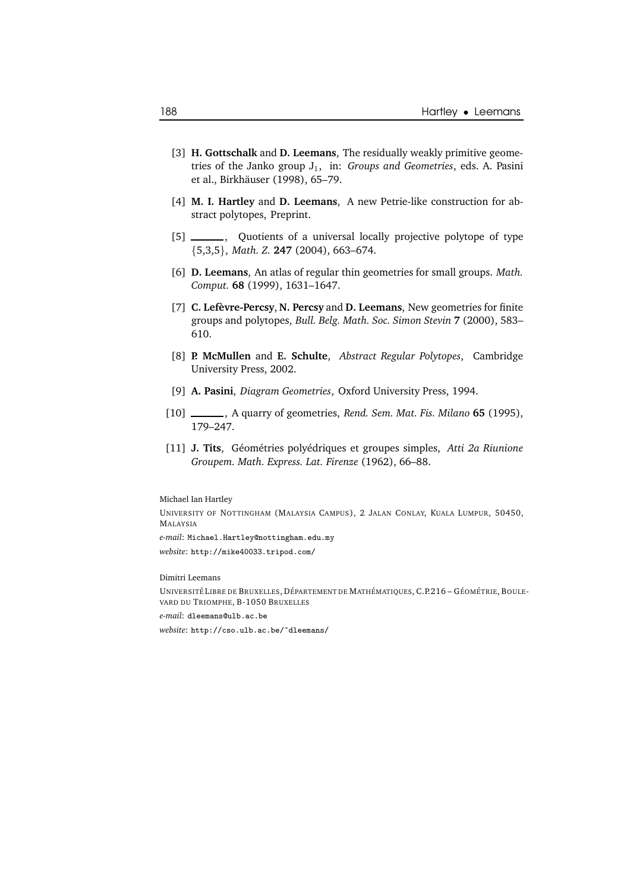- [3] **H. Gottschalk** and **D. Leemans**, The residually weakly primitive geometries of the Janko group J1, in: *Groups and Geometries*, eds. A. Pasini et al., Birkhäuser (1998), 65-79.
- [4] **M. I. Hartley** and **D. Leemans**, A new Petrie-like construction for abstract polytopes, Preprint.
- [5] \_\_\_\_\_\_\_, Quotients of a universal locally projective polytope of type {5,3,5}, *Math. Z.* **247** (2004), 663–674.
- [6] **D. Leemans**, An atlas of regular thin geometries for small groups. *Math. Comput.* **68** (1999), 1631–1647.
- [7] **C. Lefevre-P ` ercsy**, **N. Percsy** and **D. Leemans**, New geometries for finite groups and polytopes, *Bull. Belg. Math. Soc. Simon Stevin* **7** (2000), 583– 610.
- [8] **P. McMullen** and **E. Schulte**, *Abstract Regular Polytopes*, Cambridge University Press, 2002.
- [9] **A. Pasini**, *Diagram Geometries*, Oxford University Press, 1994.
- [10] , A quarry of geometries, *Rend. Sem. Mat. Fis. Milano* **65** (1995), 179–247.
- [11] **J. Tits**, G´eom´etries poly´edriques et groupes simples, *Atti 2a Riunione Groupem. Math. Express. Lat. Firenze* (1962), 66–88.

#### Michael Ian Hartley

UNIVERSITY OF NOTTINGHAM (MALAYSIA CAMPUS), 2 JALAN CONLAY, KUALA LUMPUR, 50450, MALAYSIA *e-mail*: Michael.Hartley@nottingham.edu.my *website*: http://mike40033.tripod.com/

#### Dimitri Leemans

UNIVERSITÉ LIBRE DE BRUXELLES, DÉPARTEMENT DE MATHÉMATIQUES, C.P.216 – GÉOMÉTRIE, BOULE-VARD DU TRIOMPHE, B-1050 BRUXELLES *e-mail*: dleemans@ulb.ac.be *website*: http://cso.ulb.ac.be/~dleemans/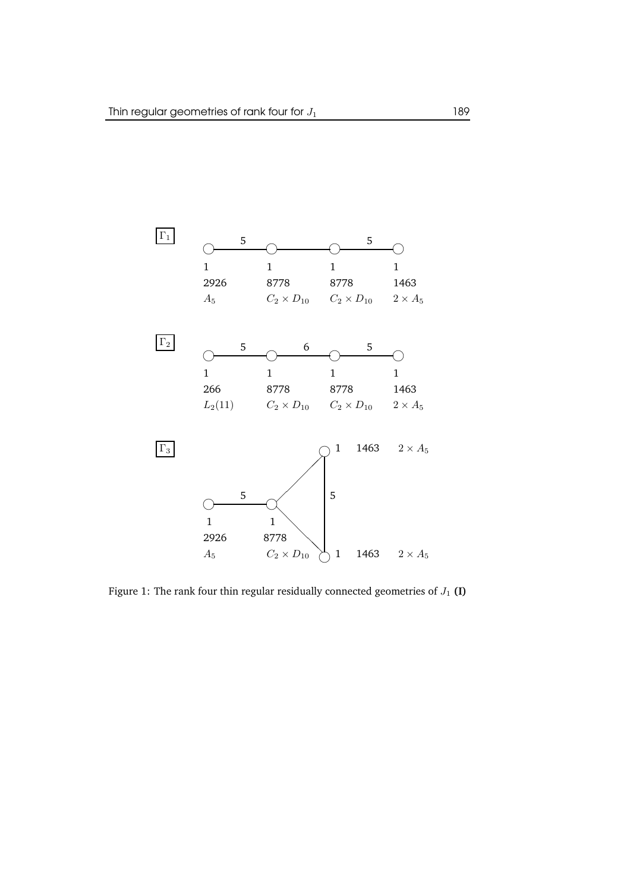

Figure 1: The rank four thin regular residually connected geometries of  $J_1$  (I)